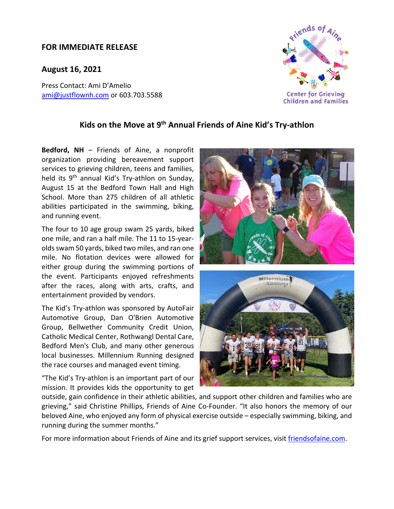## **FOR IMMEDIATE RELEASE**

**August 16, 2021**

Press Contact: Ami D'Amelio ami@justflownh.com or 603.703.5588



## **Kids on the Move at 9th Annual Friends of Aine Kid's Try‐athlon**

**Bedford, NH** – Friends of Aine, a nonprofit organization providing bereavement support services to grieving children, teens and families, held its 9<sup>th</sup> annual Kid's Try-athlon on Sunday, August 15 at the Bedford Town Hall and High School. More than 275 children of all athletic abilities participated in the swimming, biking, and running event.

The four to 10 age group swam 25 yards, biked one mile, and ran a half mile. The 11 to 15‐year‐ olds swam 50 yards, biked two miles, and ran one mile. No flotation devices were allowed for either group during the swimming portions of the event. Participants enjoyed refreshments after the races, along with arts, crafts, and entertainment provided by vendors.

The Kid's Try‐athlon was sponsored by AutoFair Automotive Group, Dan O'Brien Automotive Group, Bellwether Community Credit Union, Catholic Medical Center, Rothwangl Dental Care, Bedford Men's Club, and many other generous local businesses. Millennium Running designed the race courses and managed event timing.

"The Kid's Try‐athlon is an important part of our mission. It provides kids the opportunity to get





outside, gain confidence in their athletic abilities, and support other children and families who are grieving," said Christine Phillips, Friends of Aine Co-Founder. "It also honors the memory of our beloved Aine, who enjoyed any form of physical exercise outside – especially swimming, biking, and running during the summer months."

For more information about Friends of Aine and its grief support services, visit friendsofaine.com.